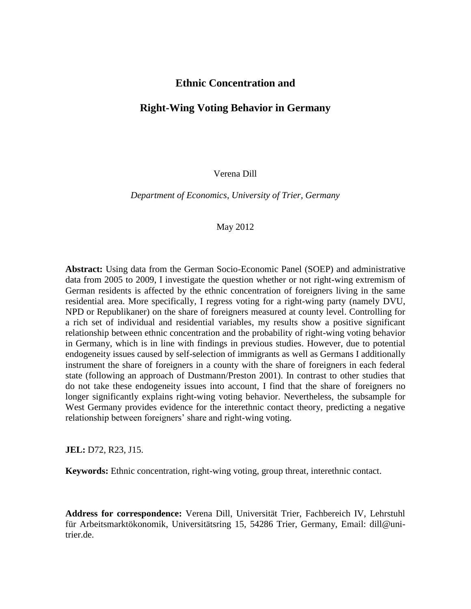### **Ethnic Concentration and**

### **Right-Wing Voting Behavior in Germany**

Verena Dill

*Department of Economics, University of Trier, Germany*

#### May 2012

**Abstract:** Using data from the German Socio-Economic Panel (SOEP) and administrative data from 2005 to 2009, I investigate the question whether or not right-wing extremism of German residents is affected by the ethnic concentration of foreigners living in the same residential area. More specifically, I regress voting for a right-wing party (namely DVU, NPD or Republikaner) on the share of foreigners measured at county level. Controlling for a rich set of individual and residential variables, my results show a positive significant relationship between ethnic concentration and the probability of right-wing voting behavior in Germany, which is in line with findings in previous studies. However, due to potential endogeneity issues caused by self-selection of immigrants as well as Germans I additionally instrument the share of foreigners in a county with the share of foreigners in each federal state (following an approach of Dustmann/Preston 2001). In contrast to other studies that do not take these endogeneity issues into account, I find that the share of foreigners no longer significantly explains right-wing voting behavior. Nevertheless, the subsample for West Germany provides evidence for the interethnic contact theory, predicting a negative relationship between foreigners' share and right-wing voting.

**JEL:** D72, R23, J15.

**Keywords:** Ethnic concentration, right-wing voting, group threat, interethnic contact.

**Address for correspondence:** Verena Dill, Universität Trier, Fachbereich IV, Lehrstuhl für Arbeitsmarktökonomik, Universitätsring 15, 54286 Trier, Germany, Email: dill@unitrier.de.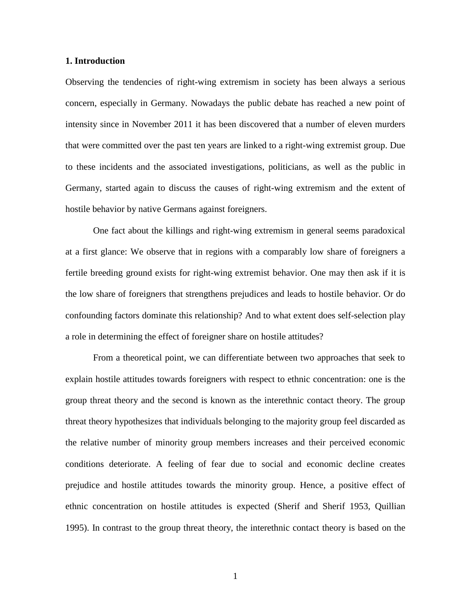#### **1. Introduction**

Observing the tendencies of right-wing extremism in society has been always a serious concern, especially in Germany. Nowadays the public debate has reached a new point of intensity since in November 2011 it has been discovered that a number of eleven murders that were committed over the past ten years are linked to a right-wing extremist group. Due to these incidents and the associated investigations, politicians, as well as the public in Germany, started again to discuss the causes of right-wing extremism and the extent of hostile behavior by native Germans against foreigners.

One fact about the killings and right-wing extremism in general seems paradoxical at a first glance: We observe that in regions with a comparably low share of foreigners a fertile breeding ground exists for right-wing extremist behavior. One may then ask if it is the low share of foreigners that strengthens prejudices and leads to hostile behavior. Or do confounding factors dominate this relationship? And to what extent does self-selection play a role in determining the effect of foreigner share on hostile attitudes?

From a theoretical point, we can differentiate between two approaches that seek to explain hostile attitudes towards foreigners with respect to ethnic concentration: one is the group threat theory and the second is known as the interethnic contact theory. The group threat theory hypothesizes that individuals belonging to the majority group feel discarded as the relative number of minority group members increases and their perceived economic conditions deteriorate. A feeling of fear due to social and economic decline creates prejudice and hostile attitudes towards the minority group. Hence, a positive effect of ethnic concentration on hostile attitudes is expected (Sherif and Sherif 1953, Quillian 1995). In contrast to the group threat theory, the interethnic contact theory is based on the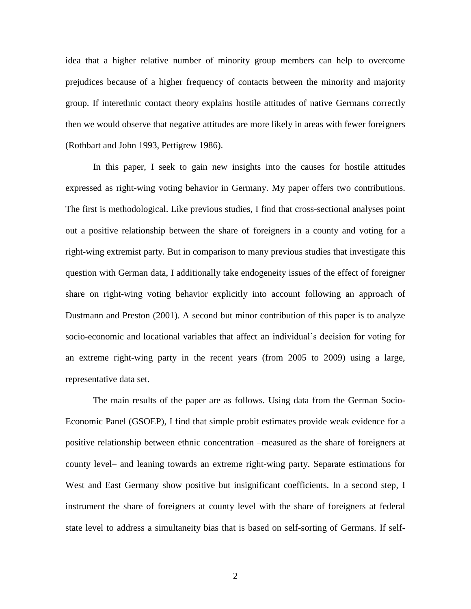idea that a higher relative number of minority group members can help to overcome prejudices because of a higher frequency of contacts between the minority and majority group. If interethnic contact theory explains hostile attitudes of native Germans correctly then we would observe that negative attitudes are more likely in areas with fewer foreigners (Rothbart and John 1993, Pettigrew 1986).

In this paper, I seek to gain new insights into the causes for hostile attitudes expressed as right-wing voting behavior in Germany. My paper offers two contributions. The first is methodological. Like previous studies, I find that cross-sectional analyses point out a positive relationship between the share of foreigners in a county and voting for a right-wing extremist party. But in comparison to many previous studies that investigate this question with German data, I additionally take endogeneity issues of the effect of foreigner share on right-wing voting behavior explicitly into account following an approach of Dustmann and Preston (2001). A second but minor contribution of this paper is to analyze socio-economic and locational variables that affect an individual's decision for voting for an extreme right-wing party in the recent years (from 2005 to 2009) using a large, representative data set.

The main results of the paper are as follows. Using data from the German Socio-Economic Panel (GSOEP), I find that simple probit estimates provide weak evidence for a positive relationship between ethnic concentration –measured as the share of foreigners at county level– and leaning towards an extreme right-wing party. Separate estimations for West and East Germany show positive but insignificant coefficients. In a second step, I instrument the share of foreigners at county level with the share of foreigners at federal state level to address a simultaneity bias that is based on self-sorting of Germans. If self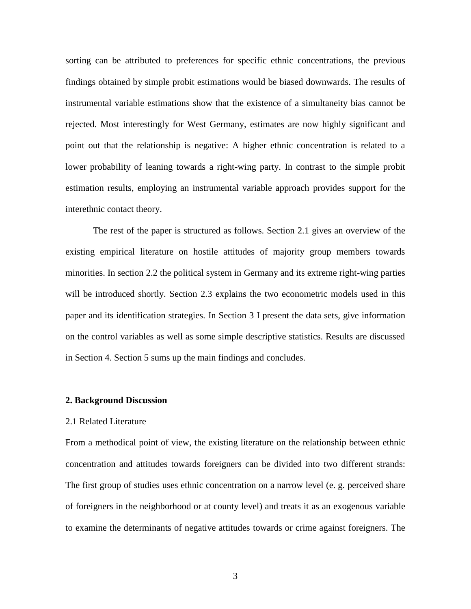sorting can be attributed to preferences for specific ethnic concentrations, the previous findings obtained by simple probit estimations would be biased downwards. The results of instrumental variable estimations show that the existence of a simultaneity bias cannot be rejected. Most interestingly for West Germany, estimates are now highly significant and point out that the relationship is negative: A higher ethnic concentration is related to a lower probability of leaning towards a right-wing party. In contrast to the simple probit estimation results, employing an instrumental variable approach provides support for the interethnic contact theory.

The rest of the paper is structured as follows. Section 2.1 gives an overview of the existing empirical literature on hostile attitudes of majority group members towards minorities. In section 2.2 the political system in Germany and its extreme right-wing parties will be introduced shortly. Section 2.3 explains the two econometric models used in this paper and its identification strategies. In Section 3 I present the data sets, give information on the control variables as well as some simple descriptive statistics. Results are discussed in Section 4. Section 5 sums up the main findings and concludes.

#### **2. Background Discussion**

#### 2.1 Related Literature

From a methodical point of view, the existing literature on the relationship between ethnic concentration and attitudes towards foreigners can be divided into two different strands: The first group of studies uses ethnic concentration on a narrow level (e. g. perceived share of foreigners in the neighborhood or at county level) and treats it as an exogenous variable to examine the determinants of negative attitudes towards or crime against foreigners. The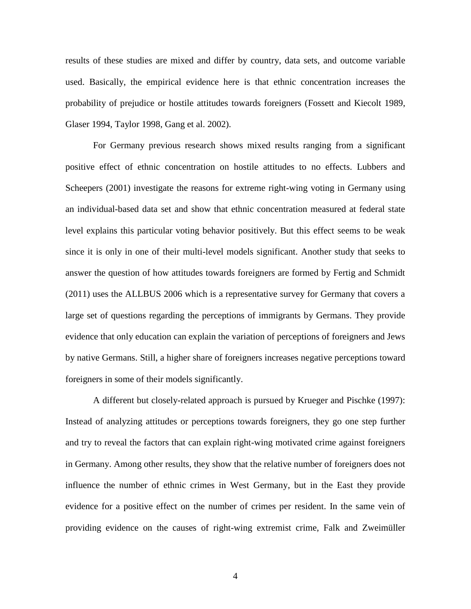results of these studies are mixed and differ by country, data sets, and outcome variable used. Basically, the empirical evidence here is that ethnic concentration increases the probability of prejudice or hostile attitudes towards foreigners (Fossett and Kiecolt 1989, Glaser 1994, Taylor 1998, Gang et al. 2002).

For Germany previous research shows mixed results ranging from a significant positive effect of ethnic concentration on hostile attitudes to no effects. Lubbers and Scheepers (2001) investigate the reasons for extreme right-wing voting in Germany using an individual-based data set and show that ethnic concentration measured at federal state level explains this particular voting behavior positively. But this effect seems to be weak since it is only in one of their multi-level models significant. Another study that seeks to answer the question of how attitudes towards foreigners are formed by Fertig and Schmidt (2011) uses the ALLBUS 2006 which is a representative survey for Germany that covers a large set of questions regarding the perceptions of immigrants by Germans. They provide evidence that only education can explain the variation of perceptions of foreigners and Jews by native Germans. Still, a higher share of foreigners increases negative perceptions toward foreigners in some of their models significantly.

A different but closely-related approach is pursued by Krueger and Pischke (1997): Instead of analyzing attitudes or perceptions towards foreigners, they go one step further and try to reveal the factors that can explain right-wing motivated crime against foreigners in Germany. Among other results, they show that the relative number of foreigners does not influence the number of ethnic crimes in West Germany, but in the East they provide evidence for a positive effect on the number of crimes per resident. In the same vein of providing evidence on the causes of right-wing extremist crime, Falk and Zweimüller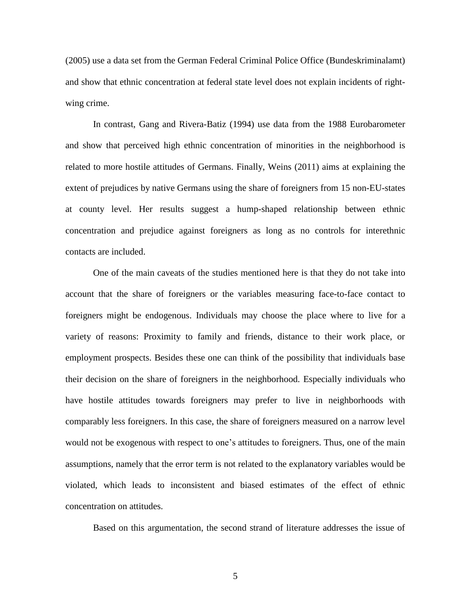(2005) use a data set from the German Federal Criminal Police Office (Bundeskriminalamt) and show that ethnic concentration at federal state level does not explain incidents of rightwing crime.

In contrast, Gang and Rivera-Batiz (1994) use data from the 1988 Eurobarometer and show that perceived high ethnic concentration of minorities in the neighborhood is related to more hostile attitudes of Germans. Finally, Weins (2011) aims at explaining the extent of prejudices by native Germans using the share of foreigners from 15 non-EU-states at county level. Her results suggest a hump-shaped relationship between ethnic concentration and prejudice against foreigners as long as no controls for interethnic contacts are included.

One of the main caveats of the studies mentioned here is that they do not take into account that the share of foreigners or the variables measuring face-to-face contact to foreigners might be endogenous. Individuals may choose the place where to live for a variety of reasons: Proximity to family and friends, distance to their work place, or employment prospects. Besides these one can think of the possibility that individuals base their decision on the share of foreigners in the neighborhood. Especially individuals who have hostile attitudes towards foreigners may prefer to live in neighborhoods with comparably less foreigners. In this case, the share of foreigners measured on a narrow level would not be exogenous with respect to one's attitudes to foreigners. Thus, one of the main assumptions, namely that the error term is not related to the explanatory variables would be violated, which leads to inconsistent and biased estimates of the effect of ethnic concentration on attitudes.

Based on this argumentation, the second strand of literature addresses the issue of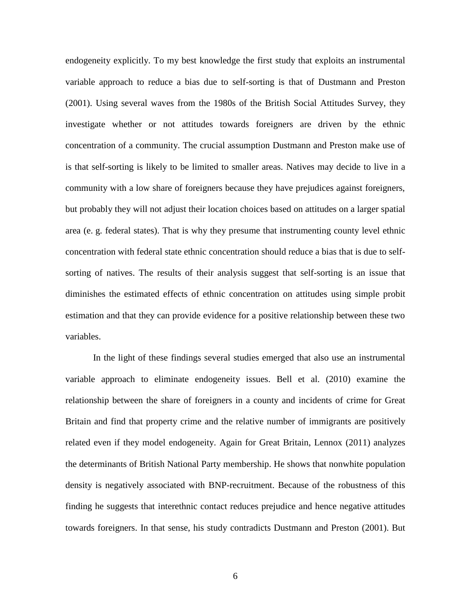endogeneity explicitly. To my best knowledge the first study that exploits an instrumental variable approach to reduce a bias due to self-sorting is that of Dustmann and Preston (2001). Using several waves from the 1980s of the British Social Attitudes Survey, they investigate whether or not attitudes towards foreigners are driven by the ethnic concentration of a community. The crucial assumption Dustmann and Preston make use of is that self-sorting is likely to be limited to smaller areas. Natives may decide to live in a community with a low share of foreigners because they have prejudices against foreigners, but probably they will not adjust their location choices based on attitudes on a larger spatial area (e. g. federal states). That is why they presume that instrumenting county level ethnic concentration with federal state ethnic concentration should reduce a bias that is due to selfsorting of natives. The results of their analysis suggest that self-sorting is an issue that diminishes the estimated effects of ethnic concentration on attitudes using simple probit estimation and that they can provide evidence for a positive relationship between these two variables.

In the light of these findings several studies emerged that also use an instrumental variable approach to eliminate endogeneity issues. Bell et al. (2010) examine the relationship between the share of foreigners in a county and incidents of crime for Great Britain and find that property crime and the relative number of immigrants are positively related even if they model endogeneity. Again for Great Britain, Lennox (2011) analyzes the determinants of British National Party membership. He shows that nonwhite population density is negatively associated with BNP-recruitment. Because of the robustness of this finding he suggests that interethnic contact reduces prejudice and hence negative attitudes towards foreigners. In that sense, his study contradicts Dustmann and Preston (2001). But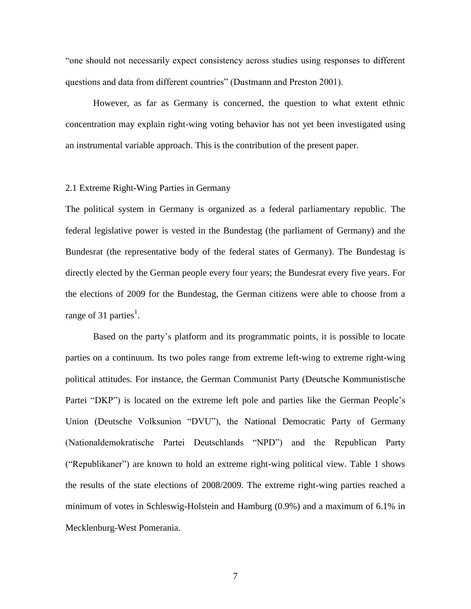"one should not necessarily expect consistency across studies using responses to different questions and data from different countries" (Dustmann and Preston 2001).

However, as far as Germany is concerned, the question to what extent ethnic concentration may explain right-wing voting behavior has not yet been investigated using an instrumental variable approach. This is the contribution of the present paper.

#### 2.1 Extreme Right-Wing Parties in Germany

The political system in Germany is organized as a federal parliamentary republic. The federal legislative power is vested in the Bundestag (the parliament of Germany) and the Bundesrat (the representative body of the federal states of Germany). The Bundestag is directly elected by the German people every four years; the Bundesrat every five years. For the elections of 2009 for the Bundestag, the German citizens were able to choose from a range of 31 parties<sup>1</sup>.

Based on the party's platform and its programmatic points, it is possible to locate parties on a continuum. Its two poles range from extreme left-wing to extreme right-wing political attitudes. For instance, the German Communist Party (Deutsche Kommunistische Partei "DKP") is located on the extreme left pole and parties like the German People's Union (Deutsche Volksunion "DVU"), the National Democratic Party of Germany (Nationaldemokratische Partei Deutschlands "NPD") and the Republican Party ("Republikaner") are known to hold an extreme right-wing political view. Table 1 shows the results of the state elections of 2008/2009. The extreme right-wing parties reached a minimum of votes in Schleswig-Holstein and Hamburg (0.9%) and a maximum of 6.1% in Mecklenburg-West Pomerania.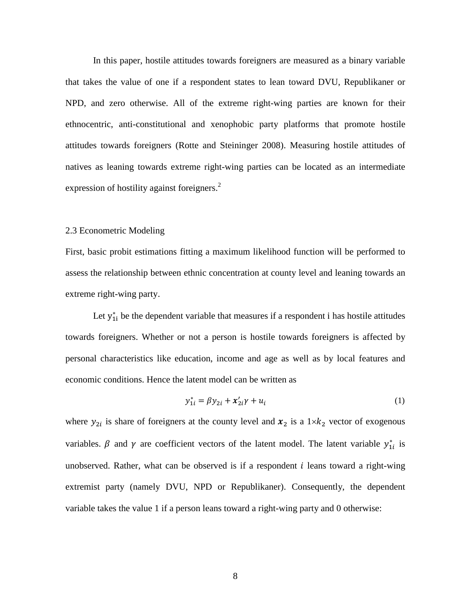In this paper, hostile attitudes towards foreigners are measured as a binary variable that takes the value of one if a respondent states to lean toward DVU, Republikaner or NPD, and zero otherwise. All of the extreme right-wing parties are known for their ethnocentric, anti-constitutional and xenophobic party platforms that promote hostile attitudes towards foreigners (Rotte and Steininger 2008). Measuring hostile attitudes of natives as leaning towards extreme right-wing parties can be located as an intermediate expression of hostility against foreigners.<sup>2</sup>

#### 2.3 Econometric Modeling

First, basic probit estimations fitting a maximum likelihood function will be performed to assess the relationship between ethnic concentration at county level and leaning towards an extreme right-wing party.

Let  $y_{1i}^*$  be the dependent variable that measures if a respondent i has hostile attitudes towards foreigners. Whether or not a person is hostile towards foreigners is affected by personal characteristics like education, income and age as well as by local features and economic conditions. Hence the latent model can be written as

$$
y_{1i}^* = \beta y_{2i} + x_{2i}' \gamma + u_i
$$
 (1)

where  $y_{2i}$  is share of foreigners at the county level and  $x_2$  is a  $1 \times k_2$  vector of exogenous variables.  $\beta$  and  $\gamma$  are coefficient vectors of the latent model. The latent variable  $y_{1i}^*$  is unobserved. Rather, what can be observed is if a respondent  $i$  leans toward a right-wing extremist party (namely DVU, NPD or Republikaner). Consequently, the dependent variable takes the value 1 if a person leans toward a right-wing party and 0 otherwise: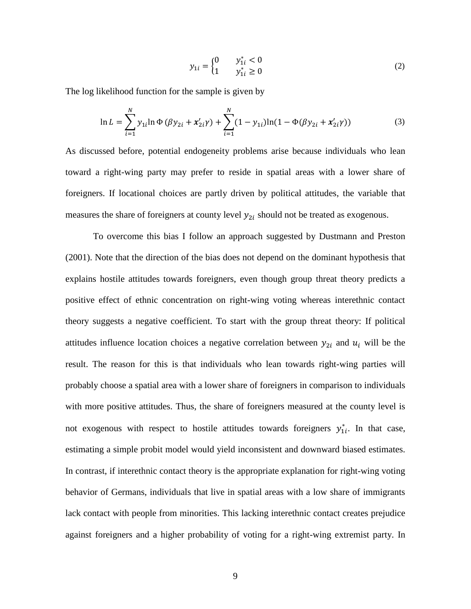$$
y_{1i} = \begin{cases} 0 & y_{1i}^* < 0\\ 1 & y_{1i}^* \ge 0 \end{cases}
$$
 (2)

The log likelihood function for the sample is given by

$$
\ln L = \sum_{i=1}^{N} y_{1i} \ln \Phi \left( \beta y_{2i} + x'_{2i} \gamma \right) + \sum_{i=1}^{N} (1 - y_{1i}) \ln (1 - \Phi(\beta y_{2i} + x'_{2i} \gamma)) \tag{3}
$$

As discussed before, potential endogeneity problems arise because individuals who lean toward a right-wing party may prefer to reside in spatial areas with a lower share of foreigners. If locational choices are partly driven by political attitudes, the variable that measures the share of foreigners at county level  $y_{2i}$  should not be treated as exogenous.

To overcome this bias I follow an approach suggested by Dustmann and Preston (2001). Note that the direction of the bias does not depend on the dominant hypothesis that explains hostile attitudes towards foreigners, even though group threat theory predicts a positive effect of ethnic concentration on right-wing voting whereas interethnic contact theory suggests a negative coefficient. To start with the group threat theory: If political attitudes influence location choices a negative correlation between  $y_{2i}$  and  $u_i$  will be the result. The reason for this is that individuals who lean towards right-wing parties will probably choose a spatial area with a lower share of foreigners in comparison to individuals with more positive attitudes. Thus, the share of foreigners measured at the county level is not exogenous with respect to hostile attitudes towards foreigners  $y_{1i}^*$ . In that case, estimating a simple probit model would yield inconsistent and downward biased estimates. In contrast, if interethnic contact theory is the appropriate explanation for right-wing voting behavior of Germans, individuals that live in spatial areas with a low share of immigrants lack contact with people from minorities. This lacking interethnic contact creates prejudice against foreigners and a higher probability of voting for a right-wing extremist party. In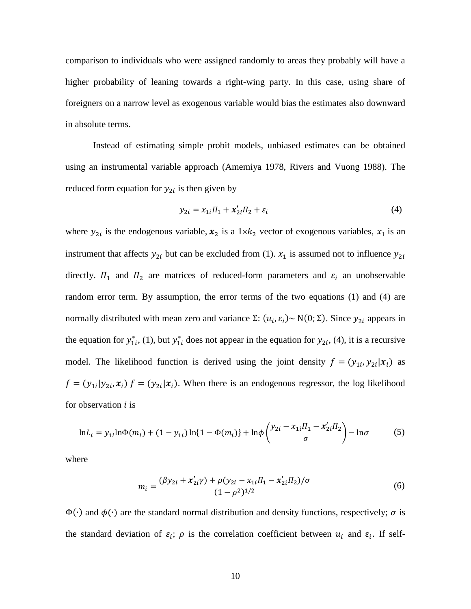comparison to individuals who were assigned randomly to areas they probably will have a higher probability of leaning towards a right-wing party. In this case, using share of foreigners on a narrow level as exogenous variable would bias the estimates also downward in absolute terms.

Instead of estimating simple probit models, unbiased estimates can be obtained using an instrumental variable approach (Amemiya 1978, Rivers and Vuong 1988). The reduced form equation for  $y_{2i}$  is then given by

$$
y_{2i} = x_{1i} \Pi_1 + x'_{2i} \Pi_2 + \varepsilon_i \tag{4}
$$

where  $y_{2i}$  is the endogenous variable,  $x_2$  is a  $1 \times k_2$  vector of exogenous variables,  $x_1$  is an instrument that affects  $y_{2i}$  but can be excluded from (1).  $x_1$  is assumed not to influence  $y_{2i}$ directly.  $\Pi_1$  and  $\Pi_2$  are matrices of reduced-form parameters and  $\varepsilon_i$  an unobservable random error term. By assumption, the error terms of the two equations (1) and (4) are normally distributed with mean zero and variance  $\Sigma: (u_i, \varepsilon_i) \sim N(0, \Sigma)$ . Since  $y_{2i}$  appears in the equation for  $y_{1i}^*$ , (1), but  $y_{1i}^*$  does not appear in the equation for  $y_{2i}$ , (4), it is a recursive model. The likelihood function is derived using the joint density  $f = (y_{1i}, y_{2i} | x_i)$  as  $f = (y_{1i}|y_{2i}, x_i) f = (y_{2i}|\dot{x}_i)$ . When there is an endogenous regressor, the log likelihood for observation  $i$  is

$$
\ln L_i = y_{1i} \ln \Phi(m_i) + (1 - y_{1i}) \ln \{1 - \Phi(m_i)\} + \ln \phi \left(\frac{y_{2i} - x_{1i} \Pi_1 - x'_{2i} \Pi_2}{\sigma}\right) - \ln \sigma \tag{5}
$$

where

$$
m_{i} = \frac{(\beta y_{2i} + x'_{2i}\gamma) + \rho(y_{2i} - x_{1i}\Pi_{1} - x'_{2i}\Pi_{2})/\sigma}{(1 - \rho^{2})^{1/2}}
$$
(6)

 $\Phi(\cdot)$  and  $\phi(\cdot)$  are the standard normal distribution and density functions, respectively;  $\sigma$  is the standard deviation of  $\varepsilon_i$ ;  $\rho$  is the correlation coefficient between  $u_i$  and  $\varepsilon_i$ . If self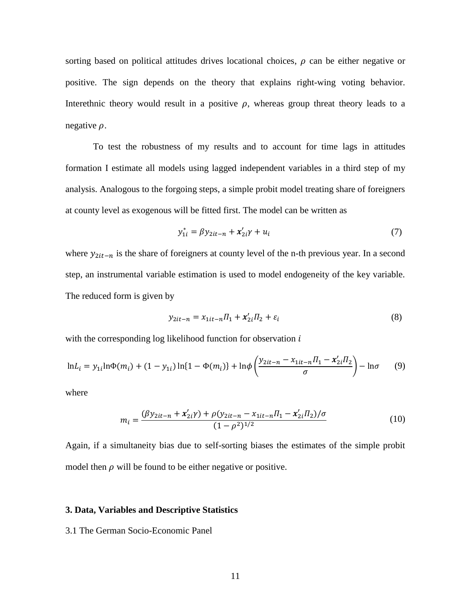sorting based on political attitudes drives locational choices,  $\rho$  can be either negative or positive. The sign depends on the theory that explains right-wing voting behavior. Interethnic theory would result in a positive  $\rho$ , whereas group threat theory leads to a negative  $\rho$ .

To test the robustness of my results and to account for time lags in attitudes formation I estimate all models using lagged independent variables in a third step of my analysis. Analogous to the forgoing steps, a simple probit model treating share of foreigners at county level as exogenous will be fitted first. The model can be written as

$$
y_{1i}^* = \beta y_{2it-n} + x_{2i}' \gamma + u_i
$$
 (7)

where  $y_{2it-n}$  is the share of foreigners at county level of the n-th previous year. In a second step, an instrumental variable estimation is used to model endogeneity of the key variable. The reduced form is given by

$$
y_{2it-n} = x_{1it-n} \Pi_1 + x'_{2i} \Pi_2 + \varepsilon_i \tag{8}
$$

with the corresponding log likelihood function for observation  $i$ 

$$
\ln L_i = y_{1i} \ln \Phi(m_i) + (1 - y_{1i}) \ln \{1 - \Phi(m_i)\} + \ln \phi \left(\frac{y_{2it-n} - x_{1it-n} \Pi_1 - x_{2i}' \Pi_2}{\sigma}\right) - \ln \sigma \tag{9}
$$

where

$$
m_{i} = \frac{(\beta y_{2it-n} + x'_{2i}\gamma) + \rho(y_{2it-n} - x_{1it-n} \Pi_1 - x'_{2i}\Pi_2)/\sigma}{(1 - \rho^2)^{1/2}}
$$
(10)

Again, if a simultaneity bias due to self-sorting biases the estimates of the simple probit model then  $\rho$  will be found to be either negative or positive.

#### **3. Data, Variables and Descriptive Statistics**

3.1 The German Socio-Economic Panel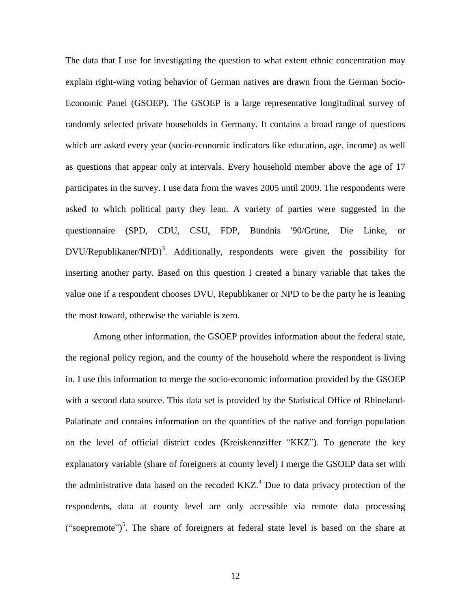The data that I use for investigating the question to what extent ethnic concentration may explain right-wing voting behavior of German natives are drawn from the German Socio-Economic Panel (GSOEP). The GSOEP is a large representative longitudinal survey of randomly selected private households in Germany. It contains a broad range of questions which are asked every year (socio-economic indicators like education, age, income) as well as questions that appear only at intervals. Every household member above the age of 17 participates in the survey. I use data from the waves 2005 until 2009. The respondents were asked to which political party they lean. A variety of parties were suggested in the questionnaire (SPD, CDU, CSU, FDP, Bündnis '90/Grüne, Die Linke, or  $DVU/Republikaner/NPD)<sup>3</sup>$ . Additionally, respondents were given the possibility for inserting another party. Based on this question I created a binary variable that takes the value one if a respondent chooses DVU, Republikaner or NPD to be the party he is leaning the most toward, otherwise the variable is zero.

Among other information, the GSOEP provides information about the federal state, the regional policy region, and the county of the household where the respondent is living in. I use this information to merge the socio-economic information provided by the GSOEP with a second data source. This data set is provided by the Statistical Office of Rhineland-Palatinate and contains information on the quantities of the native and foreign population on the level of official district codes (Kreiskennziffer "KKZ"). To generate the key explanatory variable (share of foreigners at county level) I merge the GSOEP data set with the administrative data based on the recoded  $KKZ<sup>4</sup>$ . Due to data privacy protection of the respondents, data at county level are only accessible via remote data processing ("soepremote")<sup>5</sup>. The share of foreigners at federal state level is based on the share at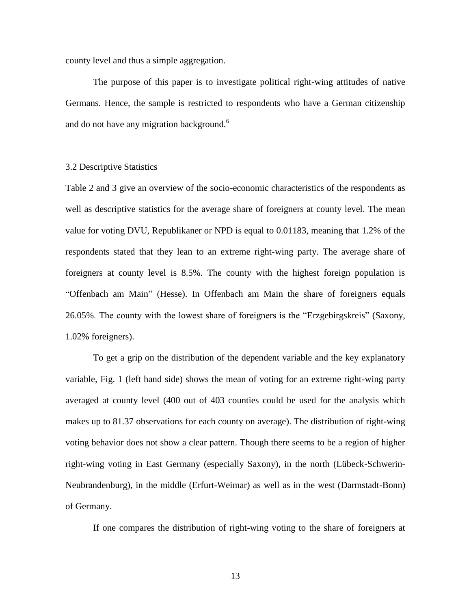county level and thus a simple aggregation.

The purpose of this paper is to investigate political right-wing attitudes of native Germans. Hence, the sample is restricted to respondents who have a German citizenship and do not have any migration background.<sup>6</sup>

#### 3.2 Descriptive Statistics

Table 2 and 3 give an overview of the socio-economic characteristics of the respondents as well as descriptive statistics for the average share of foreigners at county level. The mean value for voting DVU, Republikaner or NPD is equal to 0.01183, meaning that 1.2% of the respondents stated that they lean to an extreme right-wing party. The average share of foreigners at county level is 8.5%. The county with the highest foreign population is "Offenbach am Main" (Hesse). In Offenbach am Main the share of foreigners equals 26.05%. The county with the lowest share of foreigners is the "Erzgebirgskreis" (Saxony, 1.02% foreigners).

To get a grip on the distribution of the dependent variable and the key explanatory variable, Fig. 1 (left hand side) shows the mean of voting for an extreme right-wing party averaged at county level (400 out of 403 counties could be used for the analysis which makes up to 81.37 observations for each county on average). The distribution of right-wing voting behavior does not show a clear pattern. Though there seems to be a region of higher right-wing voting in East Germany (especially Saxony), in the north (Lübeck-Schwerin-Neubrandenburg), in the middle (Erfurt-Weimar) as well as in the west (Darmstadt-Bonn) of Germany.

If one compares the distribution of right-wing voting to the share of foreigners at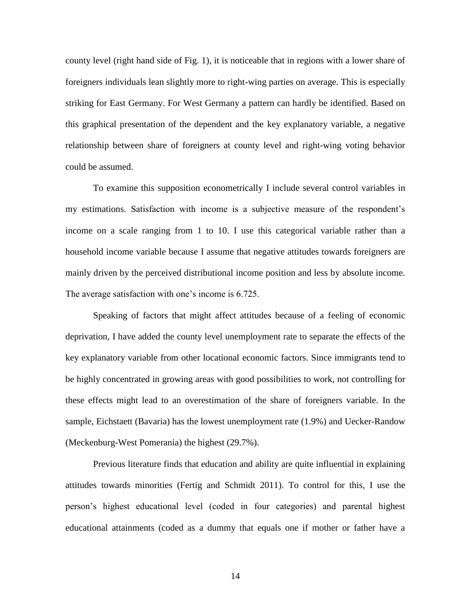county level (right hand side of Fig. 1), it is noticeable that in regions with a lower share of foreigners individuals lean slightly more to right-wing parties on average. This is especially striking for East Germany. For West Germany a pattern can hardly be identified. Based on this graphical presentation of the dependent and the key explanatory variable, a negative relationship between share of foreigners at county level and right-wing voting behavior could be assumed.

To examine this supposition econometrically I include several control variables in my estimations. Satisfaction with income is a subjective measure of the respondent's income on a scale ranging from 1 to 10. I use this categorical variable rather than a household income variable because I assume that negative attitudes towards foreigners are mainly driven by the perceived distributional income position and less by absolute income. The average satisfaction with one's income is 6.725.

Speaking of factors that might affect attitudes because of a feeling of economic deprivation, I have added the county level unemployment rate to separate the effects of the key explanatory variable from other locational economic factors. Since immigrants tend to be highly concentrated in growing areas with good possibilities to work, not controlling for these effects might lead to an overestimation of the share of foreigners variable. In the sample, Eichstaett (Bavaria) has the lowest unemployment rate (1.9%) and Uecker-Randow (Meckenburg-West Pomerania) the highest (29.7%).

Previous literature finds that education and ability are quite influential in explaining attitudes towards minorities (Fertig and Schmidt 2011). To control for this, I use the person's highest educational level (coded in four categories) and parental highest educational attainments (coded as a dummy that equals one if mother or father have a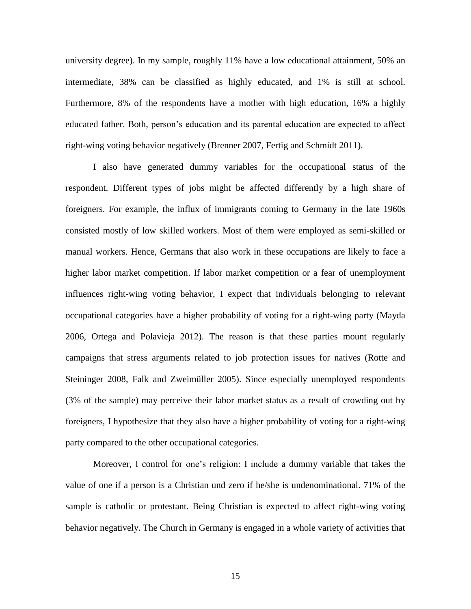university degree). In my sample, roughly 11% have a low educational attainment, 50% an intermediate, 38% can be classified as highly educated, and 1% is still at school. Furthermore, 8% of the respondents have a mother with high education, 16% a highly educated father. Both, person's education and its parental education are expected to affect right-wing voting behavior negatively (Brenner 2007, Fertig and Schmidt 2011).

I also have generated dummy variables for the occupational status of the respondent. Different types of jobs might be affected differently by a high share of foreigners. For example, the influx of immigrants coming to Germany in the late 1960s consisted mostly of low skilled workers. Most of them were employed as semi-skilled or manual workers. Hence, Germans that also work in these occupations are likely to face a higher labor market competition. If labor market competition or a fear of unemployment influences right-wing voting behavior, I expect that individuals belonging to relevant occupational categories have a higher probability of voting for a right-wing party (Mayda 2006, Ortega and Polavieja 2012). The reason is that these parties mount regularly campaigns that stress arguments related to job protection issues for natives (Rotte and Steininger 2008, Falk and Zweimüller 2005). Since especially unemployed respondents (3% of the sample) may perceive their labor market status as a result of crowding out by foreigners, I hypothesize that they also have a higher probability of voting for a right-wing party compared to the other occupational categories.

Moreover, I control for one's religion: I include a dummy variable that takes the value of one if a person is a Christian und zero if he/she is undenominational. 71% of the sample is catholic or protestant. Being Christian is expected to affect right-wing voting behavior negatively. The Church in Germany is engaged in a whole variety of activities that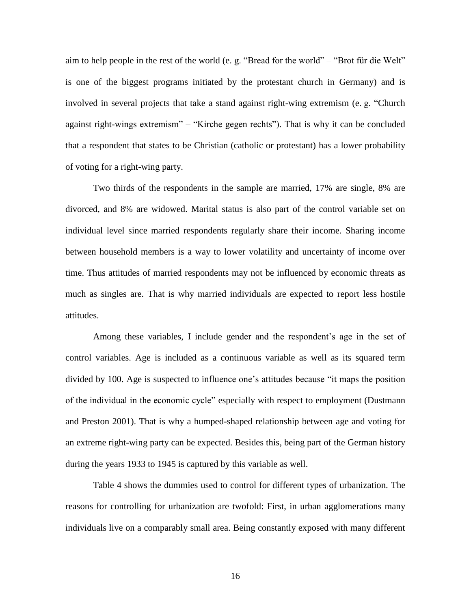aim to help people in the rest of the world (e. g. "Bread for the world" – "Brot für die Welt" is one of the biggest programs initiated by the protestant church in Germany) and is involved in several projects that take a stand against right-wing extremism (e. g. "Church against right-wings extremism" – "Kirche gegen rechts"). That is why it can be concluded that a respondent that states to be Christian (catholic or protestant) has a lower probability of voting for a right-wing party.

Two thirds of the respondents in the sample are married, 17% are single, 8% are divorced, and 8% are widowed. Marital status is also part of the control variable set on individual level since married respondents regularly share their income. Sharing income between household members is a way to lower volatility and uncertainty of income over time. Thus attitudes of married respondents may not be influenced by economic threats as much as singles are. That is why married individuals are expected to report less hostile attitudes.

Among these variables, I include gender and the respondent's age in the set of control variables. Age is included as a continuous variable as well as its squared term divided by 100. Age is suspected to influence one's attitudes because "it maps the position of the individual in the economic cycle" especially with respect to employment (Dustmann and Preston 2001). That is why a humped-shaped relationship between age and voting for an extreme right-wing party can be expected. Besides this, being part of the German history during the years 1933 to 1945 is captured by this variable as well.

Table 4 shows the dummies used to control for different types of urbanization. The reasons for controlling for urbanization are twofold: First, in urban agglomerations many individuals live on a comparably small area. Being constantly exposed with many different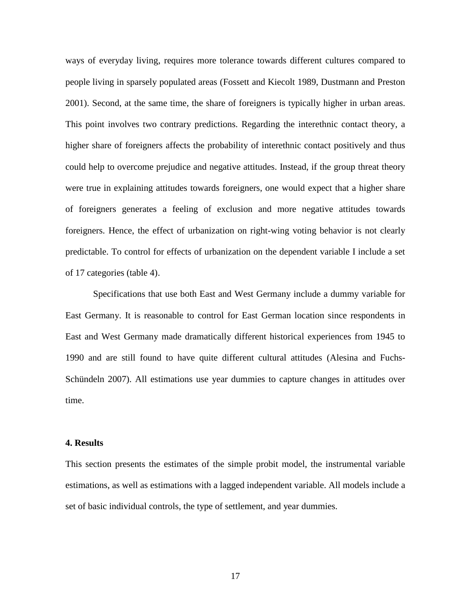ways of everyday living, requires more tolerance towards different cultures compared to people living in sparsely populated areas (Fossett and Kiecolt 1989, Dustmann and Preston 2001). Second, at the same time, the share of foreigners is typically higher in urban areas. This point involves two contrary predictions. Regarding the interethnic contact theory, a higher share of foreigners affects the probability of interethnic contact positively and thus could help to overcome prejudice and negative attitudes. Instead, if the group threat theory were true in explaining attitudes towards foreigners, one would expect that a higher share of foreigners generates a feeling of exclusion and more negative attitudes towards foreigners. Hence, the effect of urbanization on right-wing voting behavior is not clearly predictable. To control for effects of urbanization on the dependent variable I include a set of 17 categories (table 4).

Specifications that use both East and West Germany include a dummy variable for East Germany. It is reasonable to control for East German location since respondents in East and West Germany made dramatically different historical experiences from 1945 to 1990 and are still found to have quite different cultural attitudes (Alesina and Fuchs-Schündeln 2007). All estimations use year dummies to capture changes in attitudes over time.

#### **4. Results**

This section presents the estimates of the simple probit model, the instrumental variable estimations, as well as estimations with a lagged independent variable. All models include a set of basic individual controls, the type of settlement, and year dummies.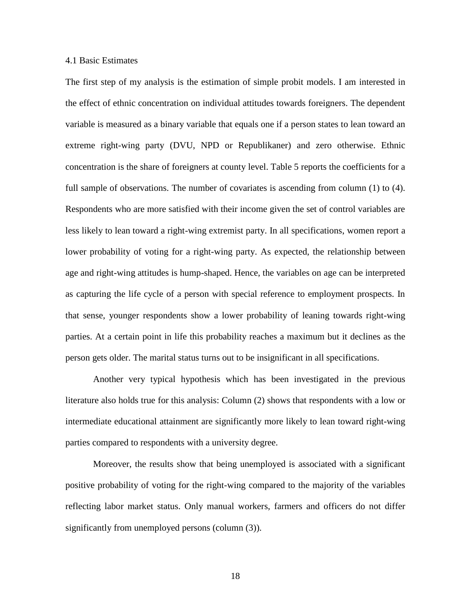#### 4.1 Basic Estimates

The first step of my analysis is the estimation of simple probit models. I am interested in the effect of ethnic concentration on individual attitudes towards foreigners. The dependent variable is measured as a binary variable that equals one if a person states to lean toward an extreme right-wing party (DVU, NPD or Republikaner) and zero otherwise. Ethnic concentration is the share of foreigners at county level. Table 5 reports the coefficients for a full sample of observations. The number of covariates is ascending from column (1) to (4). Respondents who are more satisfied with their income given the set of control variables are less likely to lean toward a right-wing extremist party. In all specifications, women report a lower probability of voting for a right-wing party. As expected, the relationship between age and right-wing attitudes is hump-shaped. Hence, the variables on age can be interpreted as capturing the life cycle of a person with special reference to employment prospects. In that sense, younger respondents show a lower probability of leaning towards right-wing parties. At a certain point in life this probability reaches a maximum but it declines as the person gets older. The marital status turns out to be insignificant in all specifications.

Another very typical hypothesis which has been investigated in the previous literature also holds true for this analysis: Column (2) shows that respondents with a low or intermediate educational attainment are significantly more likely to lean toward right-wing parties compared to respondents with a university degree.

Moreover, the results show that being unemployed is associated with a significant positive probability of voting for the right-wing compared to the majority of the variables reflecting labor market status. Only manual workers, farmers and officers do not differ significantly from unemployed persons (column (3)).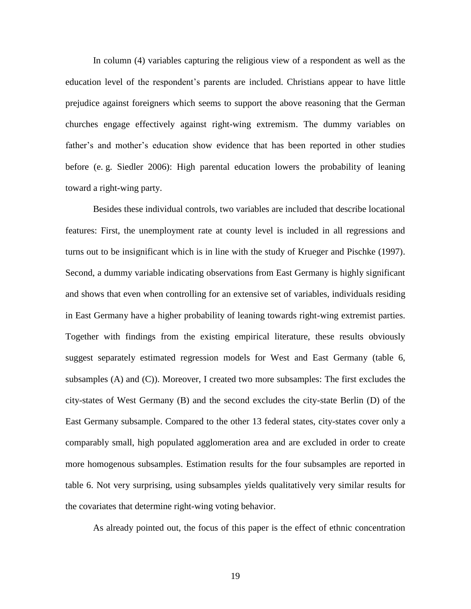In column (4) variables capturing the religious view of a respondent as well as the education level of the respondent's parents are included. Christians appear to have little prejudice against foreigners which seems to support the above reasoning that the German churches engage effectively against right-wing extremism. The dummy variables on father's and mother's education show evidence that has been reported in other studies before (e. g. Siedler 2006): High parental education lowers the probability of leaning toward a right-wing party.

Besides these individual controls, two variables are included that describe locational features: First, the unemployment rate at county level is included in all regressions and turns out to be insignificant which is in line with the study of Krueger and Pischke (1997). Second, a dummy variable indicating observations from East Germany is highly significant and shows that even when controlling for an extensive set of variables, individuals residing in East Germany have a higher probability of leaning towards right-wing extremist parties. Together with findings from the existing empirical literature, these results obviously suggest separately estimated regression models for West and East Germany (table 6, subsamples (A) and (C)). Moreover, I created two more subsamples: The first excludes the city-states of West Germany (B) and the second excludes the city-state Berlin (D) of the East Germany subsample. Compared to the other 13 federal states, city-states cover only a comparably small, high populated agglomeration area and are excluded in order to create more homogenous subsamples. Estimation results for the four subsamples are reported in table 6. Not very surprising, using subsamples yields qualitatively very similar results for the covariates that determine right-wing voting behavior.

As already pointed out, the focus of this paper is the effect of ethnic concentration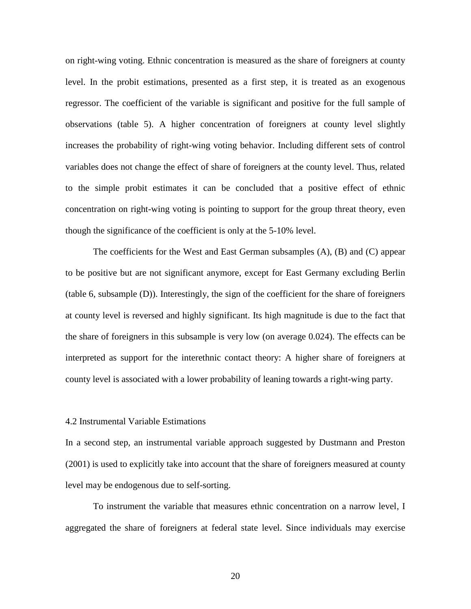on right-wing voting. Ethnic concentration is measured as the share of foreigners at county level. In the probit estimations, presented as a first step, it is treated as an exogenous regressor. The coefficient of the variable is significant and positive for the full sample of observations (table 5). A higher concentration of foreigners at county level slightly increases the probability of right-wing voting behavior. Including different sets of control variables does not change the effect of share of foreigners at the county level. Thus, related to the simple probit estimates it can be concluded that a positive effect of ethnic concentration on right-wing voting is pointing to support for the group threat theory, even though the significance of the coefficient is only at the 5-10% level.

The coefficients for the West and East German subsamples (A), (B) and (C) appear to be positive but are not significant anymore, except for East Germany excluding Berlin (table 6, subsample (D)). Interestingly, the sign of the coefficient for the share of foreigners at county level is reversed and highly significant. Its high magnitude is due to the fact that the share of foreigners in this subsample is very low (on average 0.024). The effects can be interpreted as support for the interethnic contact theory: A higher share of foreigners at county level is associated with a lower probability of leaning towards a right-wing party.

#### 4.2 Instrumental Variable Estimations

In a second step, an instrumental variable approach suggested by Dustmann and Preston (2001) is used to explicitly take into account that the share of foreigners measured at county level may be endogenous due to self-sorting.

To instrument the variable that measures ethnic concentration on a narrow level, I aggregated the share of foreigners at federal state level. Since individuals may exercise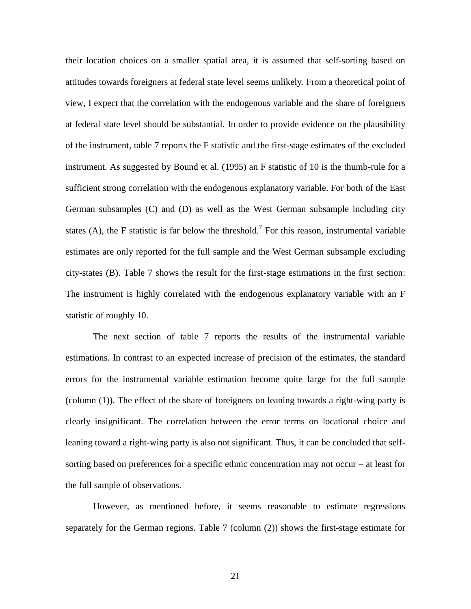their location choices on a smaller spatial area, it is assumed that self-sorting based on attitudes towards foreigners at federal state level seems unlikely. From a theoretical point of view, I expect that the correlation with the endogenous variable and the share of foreigners at federal state level should be substantial. In order to provide evidence on the plausibility of the instrument, table 7 reports the F statistic and the first-stage estimates of the excluded instrument. As suggested by Bound et al. (1995) an F statistic of 10 is the thumb-rule for a sufficient strong correlation with the endogenous explanatory variable. For both of the East German subsamples (C) and (D) as well as the West German subsample including city states (A), the F statistic is far below the threshold.<sup>7</sup> For this reason, instrumental variable estimates are only reported for the full sample and the West German subsample excluding city-states (B). Table 7 shows the result for the first-stage estimations in the first section: The instrument is highly correlated with the endogenous explanatory variable with an F statistic of roughly 10.

The next section of table 7 reports the results of the instrumental variable estimations. In contrast to an expected increase of precision of the estimates, the standard errors for the instrumental variable estimation become quite large for the full sample (column (1)). The effect of the share of foreigners on leaning towards a right-wing party is clearly insignificant. The correlation between the error terms on locational choice and leaning toward a right-wing party is also not significant. Thus, it can be concluded that selfsorting based on preferences for a specific ethnic concentration may not occur – at least for the full sample of observations.

However, as mentioned before, it seems reasonable to estimate regressions separately for the German regions. Table 7 (column (2)) shows the first-stage estimate for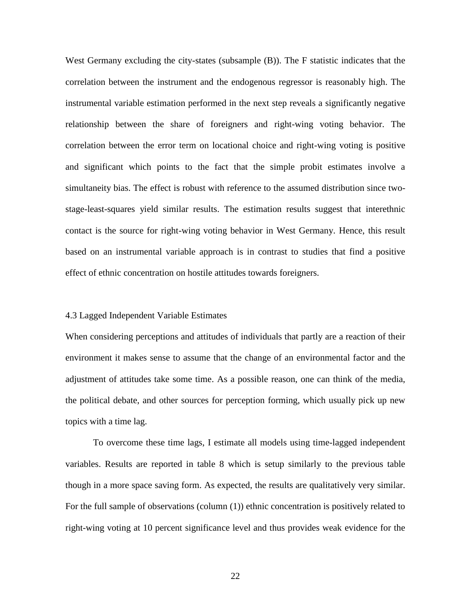West Germany excluding the city-states (subsample (B)). The F statistic indicates that the correlation between the instrument and the endogenous regressor is reasonably high. The instrumental variable estimation performed in the next step reveals a significantly negative relationship between the share of foreigners and right-wing voting behavior. The correlation between the error term on locational choice and right-wing voting is positive and significant which points to the fact that the simple probit estimates involve a simultaneity bias. The effect is robust with reference to the assumed distribution since twostage-least-squares yield similar results. The estimation results suggest that interethnic contact is the source for right-wing voting behavior in West Germany. Hence, this result based on an instrumental variable approach is in contrast to studies that find a positive effect of ethnic concentration on hostile attitudes towards foreigners.

#### 4.3 Lagged Independent Variable Estimates

When considering perceptions and attitudes of individuals that partly are a reaction of their environment it makes sense to assume that the change of an environmental factor and the adjustment of attitudes take some time. As a possible reason, one can think of the media, the political debate, and other sources for perception forming, which usually pick up new topics with a time lag.

To overcome these time lags, I estimate all models using time-lagged independent variables. Results are reported in table 8 which is setup similarly to the previous table though in a more space saving form. As expected, the results are qualitatively very similar. For the full sample of observations (column (1)) ethnic concentration is positively related to right-wing voting at 10 percent significance level and thus provides weak evidence for the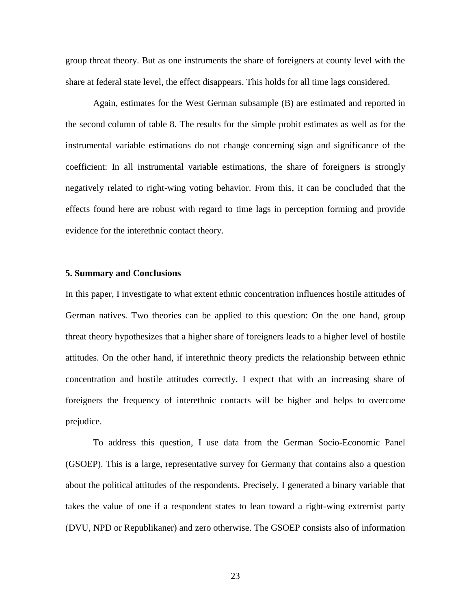group threat theory. But as one instruments the share of foreigners at county level with the share at federal state level, the effect disappears. This holds for all time lags considered.

Again, estimates for the West German subsample (B) are estimated and reported in the second column of table 8. The results for the simple probit estimates as well as for the instrumental variable estimations do not change concerning sign and significance of the coefficient: In all instrumental variable estimations, the share of foreigners is strongly negatively related to right-wing voting behavior. From this, it can be concluded that the effects found here are robust with regard to time lags in perception forming and provide evidence for the interethnic contact theory.

#### **5. Summary and Conclusions**

In this paper, I investigate to what extent ethnic concentration influences hostile attitudes of German natives. Two theories can be applied to this question: On the one hand, group threat theory hypothesizes that a higher share of foreigners leads to a higher level of hostile attitudes. On the other hand, if interethnic theory predicts the relationship between ethnic concentration and hostile attitudes correctly, I expect that with an increasing share of foreigners the frequency of interethnic contacts will be higher and helps to overcome prejudice.

To address this question, I use data from the German Socio-Economic Panel (GSOEP). This is a large, representative survey for Germany that contains also a question about the political attitudes of the respondents. Precisely, I generated a binary variable that takes the value of one if a respondent states to lean toward a right-wing extremist party (DVU, NPD or Republikaner) and zero otherwise. The GSOEP consists also of information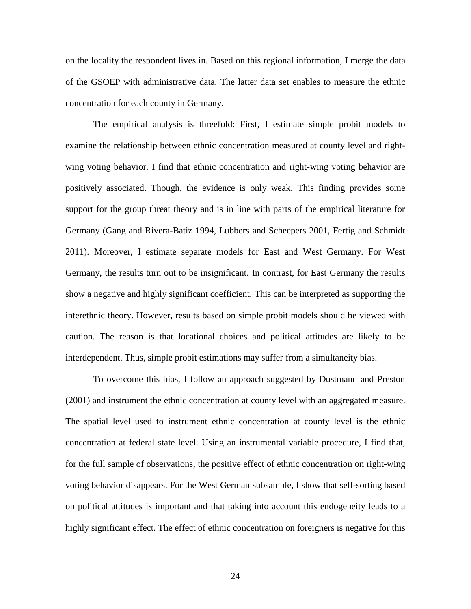on the locality the respondent lives in. Based on this regional information, I merge the data of the GSOEP with administrative data. The latter data set enables to measure the ethnic concentration for each county in Germany.

The empirical analysis is threefold: First, I estimate simple probit models to examine the relationship between ethnic concentration measured at county level and rightwing voting behavior. I find that ethnic concentration and right-wing voting behavior are positively associated. Though, the evidence is only weak. This finding provides some support for the group threat theory and is in line with parts of the empirical literature for Germany (Gang and Rivera-Batiz 1994, Lubbers and Scheepers 2001, Fertig and Schmidt 2011). Moreover, I estimate separate models for East and West Germany. For West Germany, the results turn out to be insignificant. In contrast, for East Germany the results show a negative and highly significant coefficient. This can be interpreted as supporting the interethnic theory. However, results based on simple probit models should be viewed with caution. The reason is that locational choices and political attitudes are likely to be interdependent. Thus, simple probit estimations may suffer from a simultaneity bias.

To overcome this bias, I follow an approach suggested by Dustmann and Preston (2001) and instrument the ethnic concentration at county level with an aggregated measure. The spatial level used to instrument ethnic concentration at county level is the ethnic concentration at federal state level. Using an instrumental variable procedure, I find that, for the full sample of observations, the positive effect of ethnic concentration on right-wing voting behavior disappears. For the West German subsample, I show that self-sorting based on political attitudes is important and that taking into account this endogeneity leads to a highly significant effect. The effect of ethnic concentration on foreigners is negative for this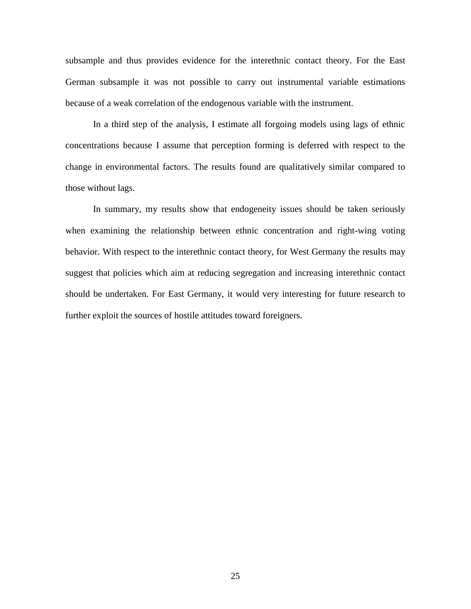subsample and thus provides evidence for the interethnic contact theory. For the East German subsample it was not possible to carry out instrumental variable estimations because of a weak correlation of the endogenous variable with the instrument.

In a third step of the analysis, I estimate all forgoing models using lags of ethnic concentrations because I assume that perception forming is deferred with respect to the change in environmental factors. The results found are qualitatively similar compared to those without lags.

In summary, my results show that endogeneity issues should be taken seriously when examining the relationship between ethnic concentration and right-wing voting behavior. With respect to the interethnic contact theory, for West Germany the results may suggest that policies which aim at reducing segregation and increasing interethnic contact should be undertaken. For East Germany, it would very interesting for future research to further exploit the sources of hostile attitudes toward foreigners.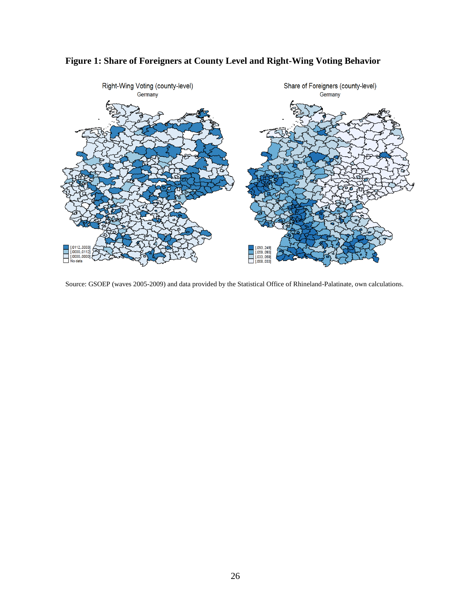

## **Figure 1: Share of Foreigners at County Level and Right-Wing Voting Behavior**

Source: GSOEP (waves 2005-2009) and data provided by the Statistical Office of Rhineland-Palatinate, own calculations.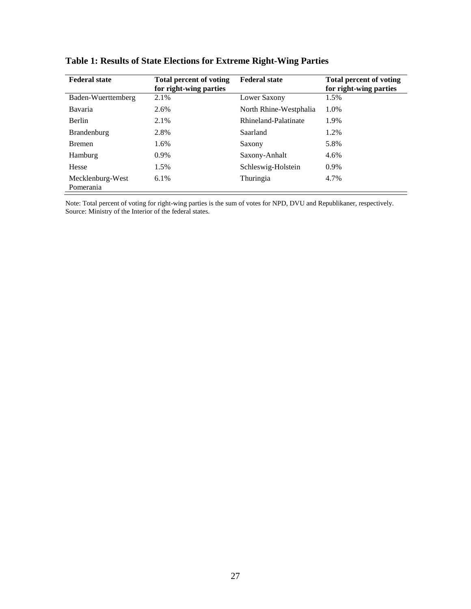| <b>Federal state</b>          | <b>Total percent of voting</b><br>for right-wing parties | <b>Federal state</b>   | <b>Total percent of voting</b><br>for right-wing parties |
|-------------------------------|----------------------------------------------------------|------------------------|----------------------------------------------------------|
| Baden-Wuerttemberg            | 2.1%                                                     | Lower Saxony           | 1.5%                                                     |
| Bavaria                       | 2.6%                                                     | North Rhine-Westphalia | 1.0%                                                     |
| <b>Berlin</b>                 | 2.1%                                                     | Rhineland-Palatinate   | 1.9%                                                     |
| <b>Brandenburg</b>            | 2.8%                                                     | Saarland               | 1.2%                                                     |
| <b>B</b> remen                | 1.6%                                                     | Saxony                 | 5.8%                                                     |
| Hamburg                       | $0.9\%$                                                  | Saxony-Anhalt          | 4.6%                                                     |
| Hesse                         | 1.5%                                                     | Schleswig-Holstein     | $0.9\%$                                                  |
| Mecklenburg-West<br>Pomerania | $6.1\%$                                                  | Thuringia              | 4.7%                                                     |

# **Table 1: Results of State Elections for Extreme Right-Wing Parties**

Note: Total percent of voting for right-wing parties is the sum of votes for NPD, DVU and Republikaner, respectively. Source: Ministry of the Interior of the federal states.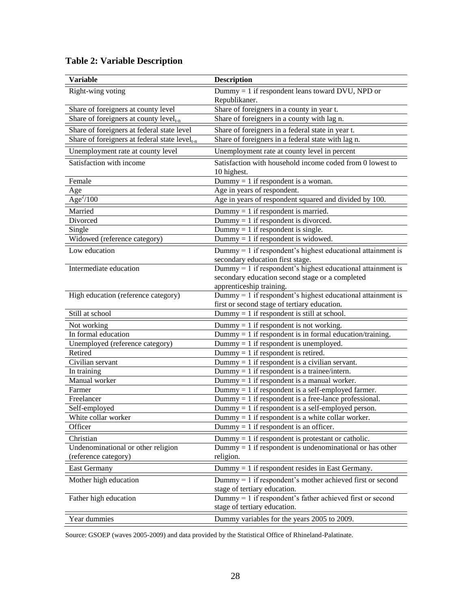| <b>Variable</b>                                    | <b>Description</b>                                            |
|----------------------------------------------------|---------------------------------------------------------------|
| Right-wing voting                                  | Dummy $= 1$ if respondent leans toward DVU, NPD or            |
|                                                    | Republikaner.                                                 |
| Share of foreigners at county level                | Share of foreigners in a county in year t.                    |
| Share of foreigners at county level <sub>t-n</sub> | Share of foreigners in a county with lag n.                   |
| Share of foreigners at federal state level         | Share of foreigners in a federal state in year t.             |
| Share of foreigners at federal state $level_{t-n}$ | Share of foreigners in a federal state with lag n.            |
| Unemployment rate at county level                  | Unemployment rate at county level in percent                  |
| Satisfaction with income                           | Satisfaction with household income coded from 0 lowest to     |
|                                                    | 10 highest.                                                   |
| Female                                             | Dummy = $1$ if respondent is a woman.                         |
| Age                                                | Age in years of respondent.                                   |
| Age <sup>2</sup> /100                              | Age in years of respondent squared and divided by 100.        |
| Married                                            | Dummy $= 1$ if respondent is married.                         |
| Divorced                                           | Dummy = 1 if respondent is divorced.                          |
| Single                                             | Dummy = 1 if respondent is single.                            |
| Widowed (reference category)                       | Dummy = 1 if respondent is widowed.                           |
| Low education                                      | $Dummy = 1$ if respondent's highest educational attainment is |
|                                                    | secondary education first stage.                              |
| Intermediate education                             | Dummy $= 1$ if respondent's highest educational attainment is |
|                                                    | secondary education second stage or a completed               |
|                                                    | apprenticeship training.                                      |
| High education (reference category)                | Dummy $= 1$ if respondent's highest educational attainment is |
|                                                    | first or second stage of tertiary education.                  |
| Still at school                                    | Dummy = 1 if respondent is still at school.                   |
| Not working                                        | Dummy = 1 if respondent is not working.                       |
| In formal education                                | Dummy = 1 if respondent is in formal education/training.      |
| Unemployed (reference category)                    | Dummy = $1$ if respondent is unemployed.                      |
| Retired                                            | Dummy = 1 if respondent is retired.                           |
| Civilian servant                                   | Dummy = 1 if respondent is a civilian servant.                |
| In training                                        | Dummy = 1 if respondent is a trainee/intern.                  |
| Manual worker                                      | Dummy = 1 if respondent is a manual worker.                   |
| Farmer                                             | Dummy $= 1$ if respondent is a self-employed farmer.          |
| Freelancer                                         | Dummy = 1 if respondent is a free-lance professional.         |
| Self-employed                                      | Dummy $= 1$ if respondent is a self-employed person.          |
| White collar worker                                | Dummy = 1 if respondent is a white collar worker.             |
| Officer                                            | Dummy $= 1$ if respondent is an officer.                      |
| Christian                                          | Dummy $= 1$ if respondent is protestant or catholic.          |
| Undenominational or other religion                 | Dummy $= 1$ if respondent is undenominational or has other    |
| (reference category)                               | religion.                                                     |
| East Germany                                       | Dummy $= 1$ if respondent resides in East Germany.            |
| Mother high education                              | Dummy = 1 if respondent's mother achieved first or second     |
|                                                    | stage of tertiary education.                                  |
| Father high education                              | Dummy = 1 if respondent's father achieved first or second     |
|                                                    | stage of tertiary education.                                  |
| Year dummies                                       | Dummy variables for the years 2005 to 2009.                   |

# **Table 2: Variable Description**

Source: GSOEP (waves 2005-2009) and data provided by the Statistical Office of Rhineland-Palatinate.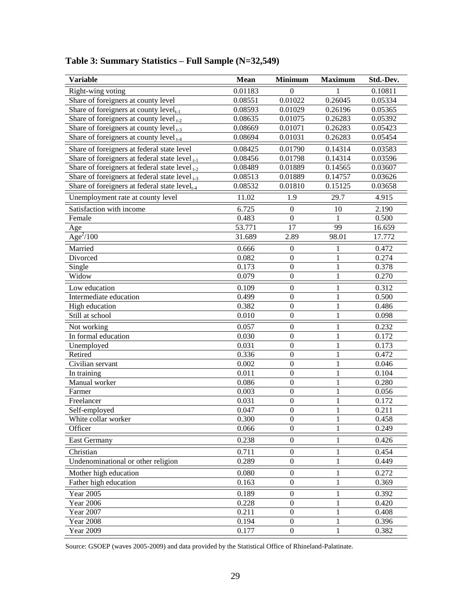| <b>Variable</b>                                           | <b>Mean</b> | <b>Minimum</b>   | <b>Maximum</b> | Std.-Dev. |
|-----------------------------------------------------------|-------------|------------------|----------------|-----------|
| Right-wing voting                                         | 0.01183     | $\theta$         |                | 0.10811   |
| Share of foreigners at county level                       | 0.08551     | 0.01022          | 0.26045        | 0.05334   |
| Share of foreigners at county $level_{t-1}$               | 0.08593     | 0.01029          | 0.26196        | 0.05365   |
| Share of foreigners at county level $_{t=2}$              | 0.08635     | 0.01075          | 0.26283        | 0.05392   |
| Share of foreigners at county level $_{t=3}$              | 0.08669     | 0.01071          | 0.26283        | 0.05423   |
| Share of foreigners at county level $_{t-4}$              | 0.08694     | 0.01031          | 0.26283        | 0.05454   |
| Share of foreigners at federal state level                | 0.08425     | 0.01790          | 0.14314        | 0.03583   |
| Share of foreigners at federal state level $_{t-1}$       | 0.08456     | 0.01798          | 0.14314        | 0.03596   |
| Share of foreigners at federal state level $_{t=2}$       | 0.08489     | 0.01889          | 0.14565        | 0.03607   |
| Share of foreigners at federal state level $_{1-3}$       | 0.08513     | 0.01889          | 0.14757        | 0.03626   |
| Share of foreigners at federal state level <sub>t-4</sub> | 0.08532     | 0.01810          | 0.15125        | 0.03658   |
| Unemployment rate at county level                         | 11.02       | 1.9              | 29.7           | 4.915     |
| Satisfaction with income                                  | 6.725       | $\boldsymbol{0}$ | 10             | 2.190     |
| Female                                                    | 0.483       | $\boldsymbol{0}$ |                | 0.500     |
| Age                                                       | 53.771      | $\overline{17}$  | 99             | 16.659    |
| Age <sup>2</sup> /100                                     | 31.689      | 2.89             | 98.01          | 17.772    |
| Married                                                   | 0.666       | $\boldsymbol{0}$ | 1              | 0.472     |
| Divorced                                                  | 0.082       | $\overline{0}$   | 1              | 0.274     |
| Single                                                    | 0.173       | $\overline{0}$   | $\mathbf{1}$   | 0.378     |
| Widow                                                     | 0.079       | $\overline{0}$   | $\mathbf{1}$   | 0.270     |
| Low education                                             | 0.109       | $\boldsymbol{0}$ | $\mathbf{1}$   | 0.312     |
| Intermediate education                                    | 0.499       | $\boldsymbol{0}$ | 1              | 0.500     |
| High education                                            | 0.382       | $\overline{0}$   | 1              | 0.486     |
| Still at school                                           | 0.010       | $\overline{0}$   | $\mathbf{1}$   | 0.098     |
| Not working                                               | 0.057       | $\overline{0}$   | $\mathbf{1}$   | 0.232     |
| In formal education                                       | 0.030       | $\overline{0}$   | $\mathbf{1}$   | 0.172     |
| Unemployed                                                | 0.031       | $\overline{0}$   | $\mathbf{1}$   | 0.173     |
| Retired                                                   | 0.336       | $\overline{0}$   | $\mathbf{1}$   | 0.472     |
| Civilian servant                                          | 0.002       | $\overline{0}$   | $\mathbf{1}$   | 0.046     |
| In training                                               | 0.011       | $\overline{0}$   | 1              | 0.104     |
| Manual worker                                             | 0.086       | $\overline{0}$   | 1              | 0.280     |
| Farmer                                                    | 0.003       | $\overline{0}$   | 1              | 0.056     |
| Freelancer                                                | 0.031       | $\overline{0}$   | 1              | 0.172     |
| Self-employed                                             | 0.047       | $\boldsymbol{0}$ | $\mathbf{1}$   | 0.211     |
| White collar worker                                       | 0.300       | $\boldsymbol{0}$ | $\,1$          | 0.458     |
| Officer                                                   | 0.066       | $\mathbf{0}$     | 1              | 0.249     |
| <b>East Germany</b>                                       | 0.238       | $\boldsymbol{0}$ | $\mathbf{1}$   | 0.426     |
| Christian                                                 | 0.711       | $\boldsymbol{0}$ | 1              | 0.454     |
| Undenominational or other religion                        | 0.289       | $\boldsymbol{0}$ | 1              | 0.449     |
| Mother high education                                     | 0.080       | $\boldsymbol{0}$ | 1              | 0.272     |
| Father high education                                     | 0.163       | $\boldsymbol{0}$ | 1              | 0.369     |
| Year 2005                                                 | 0.189       | $\boldsymbol{0}$ | 1              | 0.392     |
| <b>Year 2006</b>                                          | 0.228       | $\boldsymbol{0}$ | $\mathbf{1}$   | 0.420     |
| Year 2007                                                 | 0.211       | $\boldsymbol{0}$ | $\mathbf{1}$   | 0.408     |
| <b>Year 2008</b>                                          | 0.194       | $\boldsymbol{0}$ | $\mathbf{1}$   | 0.396     |
| Year 2009                                                 | 0.177       | $\boldsymbol{0}$ | $\mathbf{1}$   | 0.382     |

**Table 3: Summary Statistics – Full Sample (N=32,549)**

Source: GSOEP (waves 2005-2009) and data provided by the Statistical Office of Rhineland-Palatinate.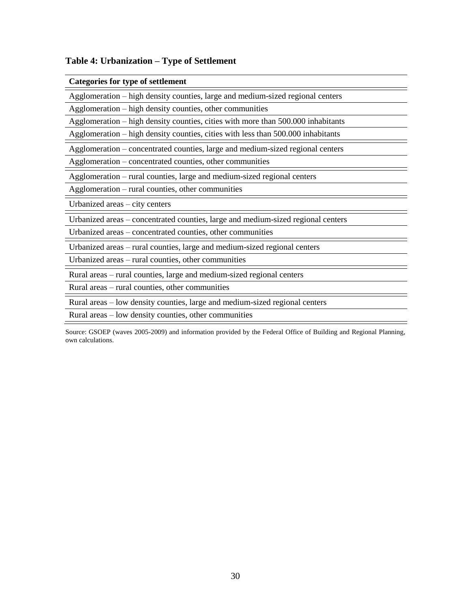# **Table 4: Urbanization – Type of Settlement**

| <b>Categories for type of settlement</b>                                         |  |  |  |
|----------------------------------------------------------------------------------|--|--|--|
| Agglomeration – high density counties, large and medium-sized regional centers   |  |  |  |
| Agglomeration – high density counties, other communities                         |  |  |  |
| Agglomeration – high density counties, cities with more than 500.000 inhabitants |  |  |  |
| Agglomeration – high density counties, cities with less than 500.000 inhabitants |  |  |  |
| Agglomeration – concentrated counties, large and medium-sized regional centers   |  |  |  |
| Agglomeration – concentrated counties, other communities                         |  |  |  |
| Agglomeration – rural counties, large and medium-sized regional centers          |  |  |  |
| Agglomeration – rural counties, other communities                                |  |  |  |
| Urbanized areas – city centers                                                   |  |  |  |
|                                                                                  |  |  |  |
| Urbanized areas – concentrated counties, large and medium-sized regional centers |  |  |  |
| Urbanized areas – concentrated counties, other communities                       |  |  |  |
| Urbanized areas – rural counties, large and medium-sized regional centers        |  |  |  |
| Urbanized areas – rural counties, other communities                              |  |  |  |
| Rural areas – rural counties, large and medium-sized regional centers            |  |  |  |
| Rural areas – rural counties, other communities                                  |  |  |  |
| Rural areas – low density counties, large and medium-sized regional centers      |  |  |  |

Source: GSOEP (waves 2005-2009) and information provided by the Federal Office of Building and Regional Planning, own calculations.

 $\equiv$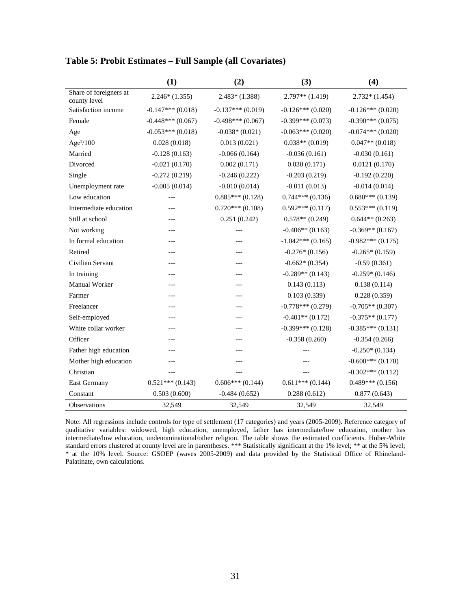|                                        | (1)                | (2)                | (3)                | (4)                |
|----------------------------------------|--------------------|--------------------|--------------------|--------------------|
| Share of foreigners at<br>county level | $2.246*(1.355)$    | $2.483*(1.388)$    | $2.797**$ (1.419)  | $2.732*(1.454)$    |
| Satisfaction income                    | $-0.147***(0.018)$ | $-0.137***(0.019)$ | $-0.126***(0.020)$ | $-0.126***(0.020)$ |
| Female                                 | $-0.448***(0.067)$ | $-0.498***(0.067)$ | $-0.399***(0.073)$ | $-0.390***(0.075)$ |
| Age                                    | $-0.053***(0.018)$ | $-0.038*(0.021)$   | $-0.063***(0.020)$ | $-0.074***(0.020)$ |
| Age $2/100$                            | 0.028(0.018)       | 0.013(0.021)       | $0.038**$ (0.019)  | $0.047**$ (0.018)  |
| Married                                | $-0.128(0.163)$    | $-0.066(0.164)$    | $-0.036(0.161)$    | $-0.030(0.161)$    |
| Divorced                               | $-0.021(0.170)$    | 0.002(0.171)       | 0.030(0.171)       | 0.0121(0.170)      |
| Single                                 | $-0.272(0.219)$    | $-0.246(0.222)$    | $-0.203(0.219)$    | $-0.192(0.220)$    |
| Unemployment rate                      | $-0.005(0.014)$    | $-0.010(0.014)$    | $-0.011(0.013)$    | $-0.014(0.014)$    |
| Low education                          | ---                | $0.885***(0.128)$  | $0.744***(0.136)$  | $0.680***(0.139)$  |
| Intermediate education                 | ---                | $0.720***(0.108)$  | $0.592***(0.117)$  | $0.553***(0.119)$  |
| Still at school                        | ---                | 0.251(0.242)       | $0.578**$ (0.249)  | $0.644**$ (0.263)  |
| Not working                            | ---                |                    | $-0.406**$ (0.163) | $-0.369**$ (0.167) |
| In formal education                    |                    |                    | $-1.042***(0.165)$ | $-0.982***(0.175)$ |
| Retired                                | ---                | ---                | $-0.276*(0.156)$   | $-0.265*(0.159)$   |
| Civilian Servant                       | ---                | ---                | $-0.662*(0.354)$   | $-0.59(0.361)$     |
| In training                            | ---                | ---                | $-0.289**$ (0.143) | $-0.259*(0.146)$   |
| Manual Worker                          | ---                | ---                | 0.143(0.113)       | 0.138(0.114)       |
| Farmer                                 | ---                | ---                | 0.103(0.339)       | 0.228(0.359)       |
| Freelancer                             |                    |                    | $-0.778***(0.279)$ | $-0.705**$ (0.307) |
| Self-employed                          | ---                | ---                | $-0.401**$ (0.172) | $-0.375**$ (0.177) |
| White collar worker                    | ---                | $---$              | $-0.399***(0.128)$ | $-0.385***(0.131)$ |
| Officer                                | ---                | ---                | $-0.358(0.260)$    | $-0.354(0.266)$    |
| Father high education                  | ---                | ---                |                    | $-0.250*(0.134)$   |
| Mother high education                  |                    | ---                |                    | $-0.600***(0.170)$ |
| Christian                              |                    |                    |                    | $-0.302***(0.112)$ |
| East Germany                           | $0.521***(0.143)$  | $0.606***(0.144)$  | $0.611***(0.144)$  | $0.489***(0.156)$  |
| Constant                               | 0.503(0.600)       | $-0.484(0.652)$    | 0.288(0.612)       | 0.877(0.643)       |
| Observations                           | 32,549             | 32,549             | 32,549             | 32,549             |

**Table 5: Probit Estimates – Full Sample (all Covariates)**

Note: All regressions include controls for type of settlement (17 categories) and years (2005-2009). Reference category of qualitative variables: widowed, high education, unemployed, father has intermediate/low education, mother has intermediate/low education, undenominational/other religion. The table shows the estimated coefficients. Huber-White standard errors clustered at county level are in parentheses. \*\*\* Statistically significant at the 1% level; \*\* at the 5% level; \* at the 10% level. Source: GSOEP (waves 2005-2009) and data provided by the Statistical Office of Rhineland-Palatinate, own calculations.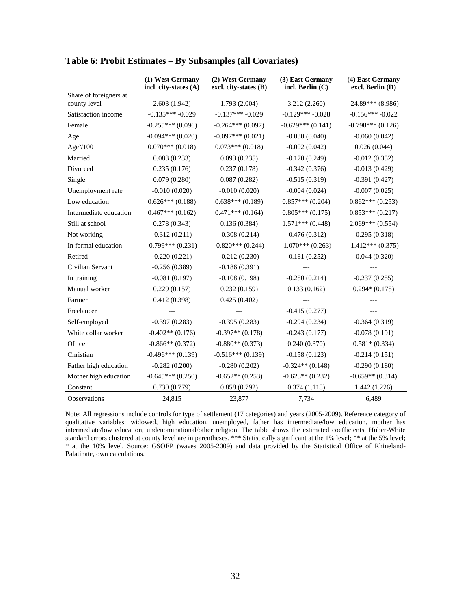|                                        | (1) West Germany      | (2) West Germany      | (3) East Germany   | (4) East Germany    |
|----------------------------------------|-----------------------|-----------------------|--------------------|---------------------|
|                                        | incl. city-states (A) | excl. city-states (B) | incl. Berlin $(C)$ | excl. Berlin (D)    |
| Share of foreigners at<br>county level | 2.603(1.942)          | 1.793(2.004)          | 3.212 (2.260)      | $-24.89***$ (8.986) |
| Satisfaction income                    | $-0.135***-0.029$     | $-0.137***-0.029$     | $-0.129***-0.028$  | $-0.156***-0.022$   |
| Female                                 | $-0.255***(0.096)$    | $-0.264***(0.097)$    | $-0.629***(0.141)$ | $-0.798***(0.126)$  |
| Age                                    | $-0.094***(0.020)$    | $-0.097***(0.021)$    | $-0.030(0.040)$    | $-0.060(0.042)$     |
| Age <sup>2</sup> /100                  | $0.070***(0.018)$     | $0.073***(0.018)$     | $-0.002(0.042)$    | 0.026(0.044)        |
| Married                                | 0.083(0.233)          | 0.093(0.235)          | $-0.170(0.249)$    | $-0.012(0.352)$     |
| Divorced                               | 0.235(0.176)          | 0.237(0.178)          | $-0.342(0.376)$    | $-0.013(0.429)$     |
| Single                                 | 0.079(0.280)          | 0.087(0.282)          | $-0.515(0.319)$    | $-0.391(0.427)$     |
| Unemployment rate                      | $-0.010(0.020)$       | $-0.010(0.020)$       | $-0.004(0.024)$    | $-0.007(0.025)$     |
| Low education                          | $0.626***(0.188)$     | $0.638***(0.189)$     | $0.857***(0.204)$  | $0.862***(0.253)$   |
| Intermediate education                 | $0.467***(0.162)$     | $0.471***(0.164)$     | $0.805***(0.175)$  | $0.853***(0.217)$   |
| Still at school                        | 0.278(0.343)          | 0.136(0.384)          | $1.571***(0.448)$  | $2.069***(0.554)$   |
| Not working                            | $-0.312(0.211)$       | $-0.308(0.214)$       | $-0.476(0.312)$    | $-0.295(0.318)$     |
| In formal education                    | $-0.799***(0.231)$    | $-0.820***(0.244)$    | $-1.070***(0.263)$ | $-1.412***(0.375)$  |
| Retired                                | $-0.220(0.221)$       | $-0.212(0.230)$       | $-0.181(0.252)$    | $-0.044(0.320)$     |
| Civilian Servant                       | $-0.256(0.389)$       | $-0.186(0.391)$       |                    |                     |
| In training                            | $-0.081(0.197)$       | $-0.108(0.198)$       | $-0.250(0.214)$    | $-0.237(0.255)$     |
| Manual worker                          | 0.229(0.157)          | 0.232(0.159)          | 0.133(0.162)       | $0.294*(0.175)$     |
| Farmer                                 | 0.412(0.398)          | 0.425(0.402)          |                    |                     |
| Freelancer                             |                       |                       | $-0.415(0.277)$    |                     |
| Self-employed                          | $-0.397(0.283)$       | $-0.395(0.283)$       | $-0.294(0.234)$    | $-0.364(0.319)$     |
| White collar worker                    | $-0.402**$ (0.176)    | $-0.397**$ (0.178)    | $-0.243(0.177)$    | $-0.078(0.191)$     |
| Officer                                | $-0.866**$ (0.372)    | $-0.880**$ (0.373)    | 0.240(0.370)       | $0.581*(0.334)$     |
| Christian                              | $-0.496***(0.139)$    | $-0.516***(0.139)$    | $-0.158(0.123)$    | $-0.214(0.151)$     |
| Father high education                  | $-0.282(0.200)$       | $-0.280(0.202)$       | $-0.324**$ (0.148) | $-0.290(0.180)$     |
| Mother high education                  | $-0.645***(0.250)$    | $-0.652**$ (0.253)    | $-0.623**$ (0.232) | $-0.659**$ (0.314)  |
| Constant                               | 0.730(0.779)          | 0.858(0.792)          | 0.374(1.118)       | 1.442(1.226)        |
| Observations                           | 24,815                | 23,877                | 7,734              | 6,489               |

### **Table 6: Probit Estimates – By Subsamples (all Covariates)**

Note: All regressions include controls for type of settlement (17 categories) and years (2005-2009). Reference category of qualitative variables: widowed, high education, unemployed, father has intermediate/low education, mother has intermediate/low education, undenominational/other religion. The table shows the estimated coefficients. Huber-White standard errors clustered at county level are in parentheses. \*\*\* Statistically significant at the 1% level; \*\* at the 5% level; \* at the 10% level. Source: GSOEP (waves 2005-2009) and data provided by the Statistical Office of Rhineland-Palatinate, own calculations.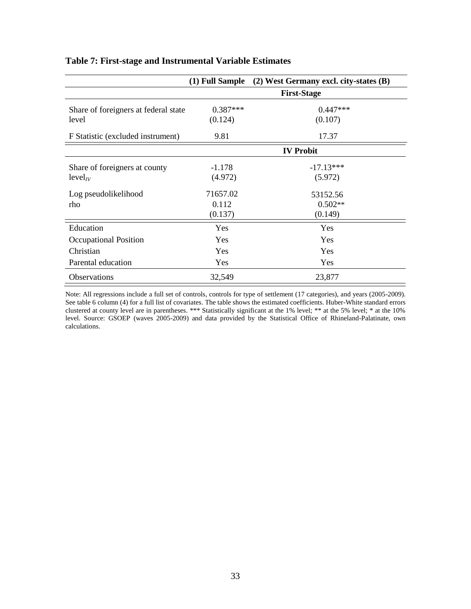|                                                 | (1) Full Sample              | (2) West Germany excl. city-states (B) |
|-------------------------------------------------|------------------------------|----------------------------------------|
|                                                 |                              | <b>First-Stage</b>                     |
| Share of foreigners at federal state<br>level   | $0.387***$<br>(0.124)        | $0.447***$<br>(0.107)                  |
| F Statistic (excluded instrument)               | 9.81                         | 17.37                                  |
|                                                 |                              | <b>IV Probit</b>                       |
| Share of foreigners at county<br>$level_{IV}$   | $-1.178$<br>(4.972)          | $-17.13***$<br>(5.972)                 |
| Log pseudolikelihood<br>rho                     | 71657.02<br>0.112<br>(0.137) | 53152.56<br>$0.502**$<br>(0.149)       |
| Education<br>Occupational Position<br>Christian | <b>Yes</b><br>Yes<br>Yes     | Yes<br>Yes<br>Yes                      |
| Parental education                              | <b>Yes</b>                   | Yes                                    |
| <b>Observations</b>                             | 32,549                       | 23,877                                 |

## **Table 7: First-stage and Instrumental Variable Estimates**

Note: All regressions include a full set of controls, controls for type of settlement (17 categories), and years (2005-2009). See table 6 column (4) for a full list of covariates. The table shows the estimated coefficients. Huber-White standard errors clustered at county level are in parentheses. \*\*\* Statistically significant at the 1% level; \*\* at the 5% level; \* at the 10% level. Source: GSOEP (waves 2005-2009) and data provided by the Statistical Office of Rhineland-Palatinate, own calculations.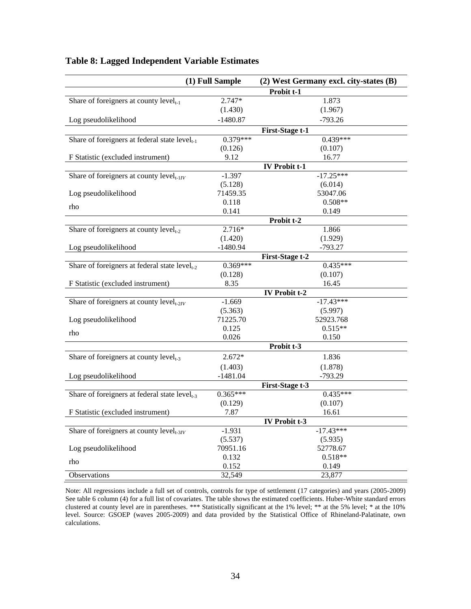| (1) Full Sample                                    |            | (2) West Germany excl. city-states (B) |  |
|----------------------------------------------------|------------|----------------------------------------|--|
|                                                    |            | Probit t-1                             |  |
| Share of foreigners at county $level_{t-1}$        | 2.747*     | 1.873                                  |  |
|                                                    | (1.430)    | (1.967)                                |  |
| Log pseudolikelihood                               | $-1480.87$ | $-793.26$                              |  |
|                                                    |            | <b>First-Stage t-1</b>                 |  |
| Share of foreigners at federal state $level_{t-1}$ | $0.379***$ | $0.439***$                             |  |
|                                                    | (0.126)    | (0.107)                                |  |
| F Statistic (excluded instrument)                  | 9.12       | 16.77                                  |  |
|                                                    |            | <b>IV Probit t-1</b>                   |  |
| Share of foreigners at county $level_{t-1IV}$      | $-1.397$   | $-17.25***$                            |  |
|                                                    | (5.128)    | (6.014)                                |  |
| Log pseudolikelihood                               | 71459.35   | 53047.06                               |  |
| rho                                                | 0.118      | $0.508**$                              |  |
|                                                    | 0.141      | 0.149                                  |  |
| Share of foreigners at county $level_{t-2}$        | $2.716*$   | Probit t-2<br>1.866                    |  |
|                                                    | (1.420)    | (1.929)                                |  |
| Log pseudolikelihood                               | $-1480.94$ | $-793.27$                              |  |
|                                                    |            | <b>First-Stage t-2</b>                 |  |
| Share of foreigners at federal state $level_{t-2}$ | $0.369***$ | $0.435***$                             |  |
|                                                    | (0.128)    | (0.107)                                |  |
| F Statistic (excluded instrument)                  | 8.35       | 16.45                                  |  |
|                                                    |            | <b>IV Probit t-2</b>                   |  |
| Share of foreigners at county $level_{t-2IV}$      | $-1.669$   | $-17.43***$                            |  |
|                                                    | (5.363)    | (5.997)                                |  |
| Log pseudolikelihood                               | 71225.70   | 52923.768                              |  |
| rho                                                | 0.125      | $0.515**$                              |  |
|                                                    | 0.026      | 0.150                                  |  |
|                                                    |            | Probit t-3                             |  |
| Share of foreigners at county $level_{t-3}$        | $2.672*$   | 1.836                                  |  |
|                                                    | (1.403)    | (1.878)                                |  |
| Log pseudolikelihood                               | $-1481.04$ | $-793.29$                              |  |
|                                                    |            | <b>First-Stage t-3</b>                 |  |
| Share of foreigners at federal state $level_{t-3}$ | $0.365***$ | $0.435***$                             |  |
|                                                    | (0.129)    | (0.107)                                |  |
| F Statistic (excluded instrument)                  | 7.87       | 16.61                                  |  |
| Share of foreigners at county $level_{t-3IV}$      | $-1.931$   | IV Probit t-3<br>$-17.43***$           |  |
|                                                    | (5.537)    | (5.935)                                |  |
| Log pseudolikelihood                               | 70951.16   | 52778.67                               |  |
|                                                    | 0.132      | $0.518**$                              |  |
| rho                                                | 0.152      | 0.149                                  |  |
| Observations                                       | 32,549     | 23,877                                 |  |

## **Table 8: Lagged Independent Variable Estimates**

Note: All regressions include a full set of controls, controls for type of settlement (17 categories) and years (2005-2009) See table 6 column (4) for a full list of covariates. The table shows the estimated coefficients. Huber-White standard errors clustered at county level are in parentheses. \*\*\* Statistically significant at the 1% level; \*\* at the 5% level; \* at the 10% level. Source: GSOEP (waves 2005-2009) and data provided by the Statistical Office of Rhineland-Palatinate, own calculations.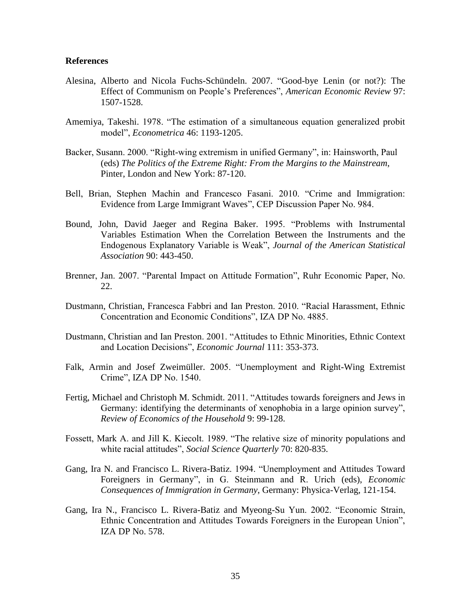#### **References**

- Alesina, Alberto and Nicola Fuchs-Schündeln. 2007. "Good-bye Lenin (or not?): The Effect of Communism on People's Preferences", *American Economic Review* 97: 1507-1528.
- Amemiya, Takeshi. 1978. "The estimation of a simultaneous equation generalized probit model", *Econometrica* 46: 1193-1205.
- Backer, Susann. 2000. "Right-wing extremism in unified Germany", in: Hainsworth, Paul (eds) *The Politics of the Extreme Right: From the Margins to the Mainstream*, Pinter, London and New York: 87-120.
- Bell, Brian, Stephen Machin and Francesco Fasani. 2010. "Crime and Immigration: Evidence from Large Immigrant Waves", CEP Discussion Paper No. 984.
- Bound, John, David Jaeger and Regina Baker. 1995. "Problems with Instrumental Variables Estimation When the Correlation Between the Instruments and the Endogenous Explanatory Variable is Weak", *Journal of the American Statistical Association* 90: 443-450.
- Brenner, Jan. 2007. "Parental Impact on Attitude Formation", Ruhr Economic Paper, No. 22.
- Dustmann, Christian, Francesca Fabbri and Ian Preston. 2010. "Racial Harassment, Ethnic Concentration and Economic Conditions", IZA DP No. 4885.
- Dustmann, Christian and Ian Preston. 2001. "Attitudes to Ethnic Minorities, Ethnic Context and Location Decisions", *Economic Journal* 111: 353-373.
- Falk, Armin and Josef Zweimüller. 2005. "Unemployment and Right-Wing Extremist Crime", IZA DP No. 1540.
- Fertig, Michael and Christoph M. Schmidt. 2011. "Attitudes towards foreigners and Jews in Germany: identifying the determinants of xenophobia in a large opinion survey", *Review of Economics of the Household* 9: 99-128.
- Fossett, Mark A. and Jill K. Kiecolt. 1989. "The relative size of minority populations and white racial attitudes", *Social Science Quarterly* 70: 820-835.
- Gang, Ira N. and Francisco L. Rivera-Batiz. 1994. "Unemployment and Attitudes Toward Foreigners in Germany", in G. Steinmann and R. Urich (eds), *Economic Consequences of Immigration in Germany*, Germany: Physica-Verlag, 121-154.
- Gang, Ira N., Francisco L. Rivera-Batiz and Myeong-Su Yun. 2002. "Economic Strain, Ethnic Concentration and Attitudes Towards Foreigners in the European Union", IZA DP No. 578.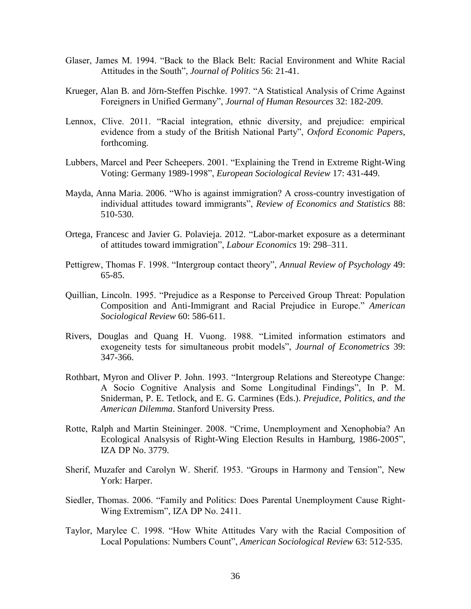- Glaser, James M. 1994. "Back to the Black Belt: Racial Environment and White Racial Attitudes in the South", *Journal of Politics* 56: 21-41.
- Krueger, Alan B. and Jörn-Steffen Pischke. 1997. "A Statistical Analysis of Crime Against Foreigners in Unified Germany", *Journal of Human Resources* 32: 182-209.
- Lennox, Clive. 2011. "Racial integration, ethnic diversity, and prejudice: empirical evidence from a study of the British National Party", *Oxford Economic Papers*, forthcoming.
- Lubbers, Marcel and Peer Scheepers. 2001. "Explaining the Trend in Extreme Right-Wing Voting: Germany 1989-1998", *European Sociological Review* 17: 431-449.
- Mayda, Anna Maria. 2006. "Who is against immigration? A cross-country investigation of individual attitudes toward immigrants", *Review of Economics and Statistics* 88: 510-530.
- Ortega, Francesc and Javier G. Polavieja. 2012. "Labor-market exposure as a determinant of attitudes toward immigration", *[Labour Economics](http://www.sciencedirect.com/science/journal/09275371)* 19: 298–311.
- Pettigrew, Thomas F. 1998. "Intergroup contact theory", *Annual Review of Psychology* 49: 65-85.
- Quillian, Lincoln. 1995. "Prejudice as a Response to Perceived Group Threat: Population Composition and Anti-Immigrant and Racial Prejudice in Europe." *American Sociological Review* 60: 586-611.
- Rivers, Douglas and Quang H. Vuong. 1988. "Limited information estimators and exogeneity tests for simultaneous probit models", *Journal of Econometrics* 39: 347-366.
- Rothbart, Myron and Oliver P. John. 1993. "Intergroup Relations and Stereotype Change: A Socio Cognitive Analysis and Some Longitudinal Findings", In P. M. Sniderman, P. E. Tetlock, and E. G. Carmines (Eds.). *Prejudice, Politics, and the American Dilemma*. Stanford University Press.
- Rotte, Ralph and Martin Steininger. 2008. "Crime, Unemployment and Xenophobia? An Ecological Analsysis of Right-Wing Election Results in Hamburg, 1986-2005", IZA DP No. 3779.
- Sherif, Muzafer and Carolyn W. Sherif. 1953. "Groups in Harmony and Tension", New York: Harper.
- Siedler, Thomas. 2006. "Family and Politics: Does Parental Unemployment Cause Right-Wing Extremism", IZA DP No. 2411.
- Taylor, Marylee C. 1998. "How White Attitudes Vary with the Racial Composition of Local Populations: Numbers Count", *American Sociological Review* 63: 512-535.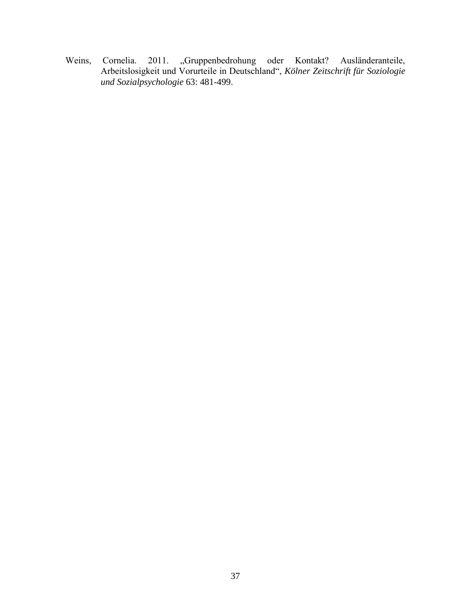Weins, Cornelia. 2011. "Gruppenbedrohung oder Kontakt? Ausländeranteile, Arbeitslosigkeit und Vorurteile in Deutschland", *Kölner Zeitschrift für Soziologie und Sozialpsychologie* 63: 481-499.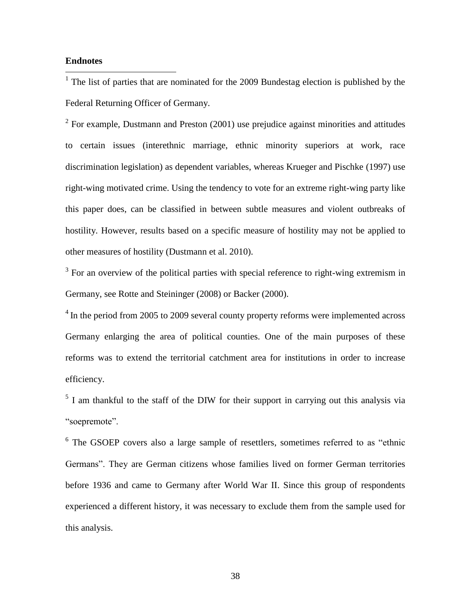#### **Endnotes**

 $\overline{a}$ 

 $1$  The list of parties that are nominated for the 2009 Bundestag election is published by the Federal Returning Officer of Germany.

<sup>2</sup> For example, Dustmann and Preston  $(2001)$  use prejudice against minorities and attitudes to certain issues (interethnic marriage, ethnic minority superiors at work, race discrimination legislation) as dependent variables, whereas Krueger and Pischke (1997) use right-wing motivated crime. Using the tendency to vote for an extreme right-wing party like this paper does, can be classified in between subtle measures and violent outbreaks of hostility. However, results based on a specific measure of hostility may not be applied to other measures of hostility (Dustmann et al. 2010).

 $3$  For an overview of the political parties with special reference to right-wing extremism in Germany, see Rotte and Steininger (2008) or Backer (2000).

 $4$  In the period from 2005 to 2009 several county property reforms were implemented across Germany enlarging the area of political counties. One of the main purposes of these reforms was to extend the territorial catchment area for institutions in order to increase efficiency.

 $<sup>5</sup>$  I am thankful to the staff of the DIW for their support in carrying out this analysis via</sup> "soepremote".

<sup>6</sup> The GSOEP covers also a large sample of resettlers, sometimes referred to as "ethnic Germans". They are German citizens whose families lived on former German territories before 1936 and came to Germany after World War II. Since this group of respondents experienced a different history, it was necessary to exclude them from the sample used for this analysis.